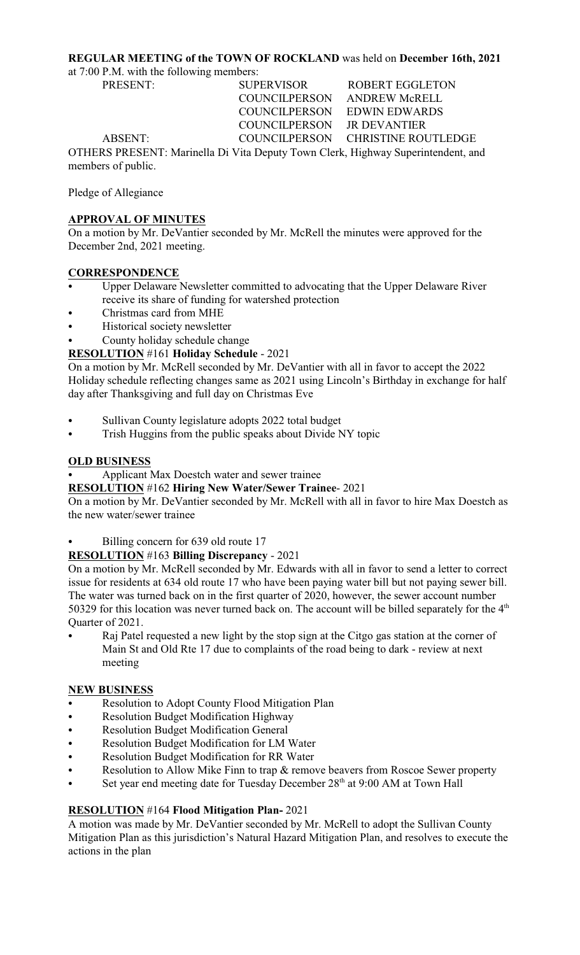## **REGULAR MEETING of the TOWN OF ROCKLAND** was held on **December 16th, 2021**

at 7:00 P.M. with the following members:

PRESENT: SUPERVISOR ROBERT EGGLETON

 COUNCILPERSON ANDREW McRELL COUNCILPERSON EDWIN EDWARDS COUNCILPERSON JR DEVANTIER

ABSENT: COUNCILPERSON CHRISTINE ROUTLEDGE

OTHERS PRESENT: Marinella Di Vita Deputy Town Clerk, Highway Superintendent, and members of public.

Pledge of Allegiance

# **APPROVAL OF MINUTES**

On a motion by Mr. DeVantier seconded by Mr. McRell the minutes were approved for the December 2nd, 2021 meeting.

## **CORRESPONDENCE**

- C Upper Delaware Newsletter committed to advocating that the Upper Delaware River receive its share of funding for watershed protection
- Christmas card from MHE
- Historical society newsletter
- County holiday schedule change

# **RESOLUTION** #161 **Holiday Schedule** - 2021

On a motion by Mr. McRell seconded by Mr. DeVantier with all in favor to accept the 2022 Holiday schedule reflecting changes same as 2021 using Lincoln's Birthday in exchange for half day after Thanksgiving and full day on Christmas Eve

- Sullivan County legislature adopts 2022 total budget
- Trish Huggins from the public speaks about Divide NY topic

# **OLD BUSINESS**

Applicant Max Doestch water and sewer trainee

**RESOLUTION** #162 **Hiring New Water/Sewer Trainee**- 2021

On a motion by Mr. DeVantier seconded by Mr. McRell with all in favor to hire Max Doestch as the new water/sewer trainee

Billing concern for 639 old route 17

## **RESOLUTION** #163 **Billing Discrepancy** - 2021

On a motion by Mr. McRell seconded by Mr. Edwards with all in favor to send a letter to correct issue for residents at 634 old route 17 who have been paying water bill but not paying sewer bill. The water was turned back on in the first quarter of 2020, however, the sewer account number 50329 for this location was never turned back on. The account will be billed separately for the  $4<sup>th</sup>$ Quarter of 2021.

Raj Patel requested a new light by the stop sign at the Citgo gas station at the corner of Main St and Old Rte 17 due to complaints of the road being to dark - review at next meeting

# **NEW BUSINESS**

- Resolution to Adopt County Flood Mitigation Plan
- Resolution Budget Modification Highway
- Resolution Budget Modification General
- Resolution Budget Modification for LM Water
- Resolution Budget Modification for RR Water
- Resolution to Allow Mike Finn to trap & remove beavers from Roscoe Sewer property
- Set year end meeting date for Tuesday December  $28<sup>th</sup>$  at 9:00 AM at Town Hall

# **RESOLUTION** #164 **Flood Mitigation Plan-** 2021

A motion was made by Mr. DeVantier seconded by Mr. McRell to adopt the Sullivan County Mitigation Plan as this jurisdiction's Natural Hazard Mitigation Plan, and resolves to execute the actions in the plan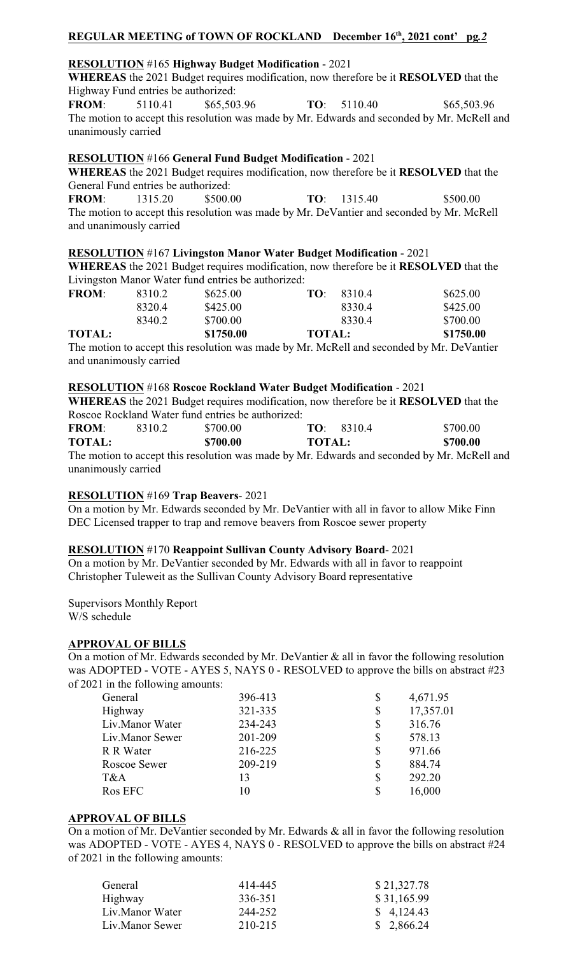# **REGULAR MEETING of TOWN OF ROCKLAND** December 16<sup>th</sup>, 2021 cont' pg.2

## **RESOLUTION** #165 **Highway Budget Modification** - 2021

**WHEREAS** the 2021 Budget requires modification, now therefore be it **RESOLVED** that the Highway Fund entries be authorized:

**FROM**: 5110.41 \$65,503.96 **TO**: 5110.40 \$65,503.96 The motion to accept this resolution was made by Mr. Edwards and seconded by Mr. McRell and unanimously carried

#### **RESOLUTION** #166 **General Fund Budget Modification** - 2021

**WHEREAS** the 2021 Budget requires modification, now therefore be it **RESOLVED** that the General Fund entries be authorized:

**FROM**: 1315.20 \$500.00 **TO**: 1315.40 \$500.00 The motion to accept this resolution was made by Mr. DeVantier and seconded by Mr. McRell and unanimously carried

#### **RESOLUTION** #167 **Livingston Manor Water Budget Modification** - 2021

**WHEREAS** the 2021 Budget requires modification, now therefore be it **RESOLVED** that the Livingston Manor Water fund entries be authorized:

| $-1$          |        |           | 11 12 <i>12</i> 12 <i> 13</i> 11 |           |
|---------------|--------|-----------|----------------------------------|-----------|
| <b>TOTAL:</b> |        | \$1750.00 | <b>TOTAL:</b>                    | \$1750.00 |
|               | 8340.2 | \$700.00  | 8330.4                           | \$700.00  |
|               | 8320.4 | \$425.00  | 83304                            | \$425.00  |
| <b>FROM:</b>  | 8310.2 | \$625.00  | TO: 8310.4                       | \$625.00  |
|               |        |           |                                  |           |

The motion to accept this resolution was made by Mr. McRell and seconded by Mr. DeVantier and unanimously carried

#### **RESOLUTION** #168 **Roscoe Rockland Water Budget Modification** - 2021

**WHEREAS** the 2021 Budget requires modification, now therefore be it **RESOLVED** that the Roscoe Rockland Water fund entries be authorized:

| <b>FROM:</b>                                                                                | 8310.2 | \$700.00 |               | TO: 83104 | \$700.00 |
|---------------------------------------------------------------------------------------------|--------|----------|---------------|-----------|----------|
| <b>TOTAL:</b>                                                                               |        | \$700.00 | <b>TOTAL:</b> |           | \$700.00 |
| The motion to accept this resolution was made by Mr. Edwards and seconded by Mr. McRell and |        |          |               |           |          |
| unanimously carried                                                                         |        |          |               |           |          |

#### **RESOLUTION** #169 **Trap Beavers**- 2021

On a motion by Mr. Edwards seconded by Mr. DeVantier with all in favor to allow Mike Finn DEC Licensed trapper to trap and remove beavers from Roscoe sewer property

#### **RESOLUTION** #170 **Reappoint Sullivan County Advisory Board**- 2021

On a motion by Mr. DeVantier seconded by Mr. Edwards with all in favor to reappoint Christopher Tuleweit as the Sullivan County Advisory Board representative

Supervisors Monthly Report W/S schedule

#### **APPROVAL OF BILLS**

On a motion of Mr. Edwards seconded by Mr. DeVantier & all in favor the following resolution was ADOPTED - VOTE - AYES 5, NAYS 0 - RESOLVED to approve the bills on abstract #23 of 2021 in the following amounts:

| General         | 396-413 |    | 4,671.95  |
|-----------------|---------|----|-----------|
| Highway         | 321-335 | \$ | 17,357.01 |
| Liv.Manor Water | 234-243 | S  | 316.76    |
| Liv.Manor Sewer | 201-209 | \$ | 578.13    |
| R R Water       | 216-225 | \$ | 971.66    |
| Roscoe Sewer    | 209-219 | \$ | 884.74    |
| T&A             | 13      | \$ | 292.20    |
| Ros EFC         | 10      |    | 16,000    |

## **APPROVAL OF BILLS**

On a motion of Mr. DeVantier seconded by Mr. Edwards & all in favor the following resolution was ADOPTED - VOTE - AYES 4, NAYS 0 - RESOLVED to approve the bills on abstract #24 of 2021 in the following amounts:

| 414-445 | \$21,327.78 |
|---------|-------------|
| 336-351 | \$31,165.99 |
| 244-252 | \$4,124.43  |
| 210-215 | \$2,866.24  |
|         |             |